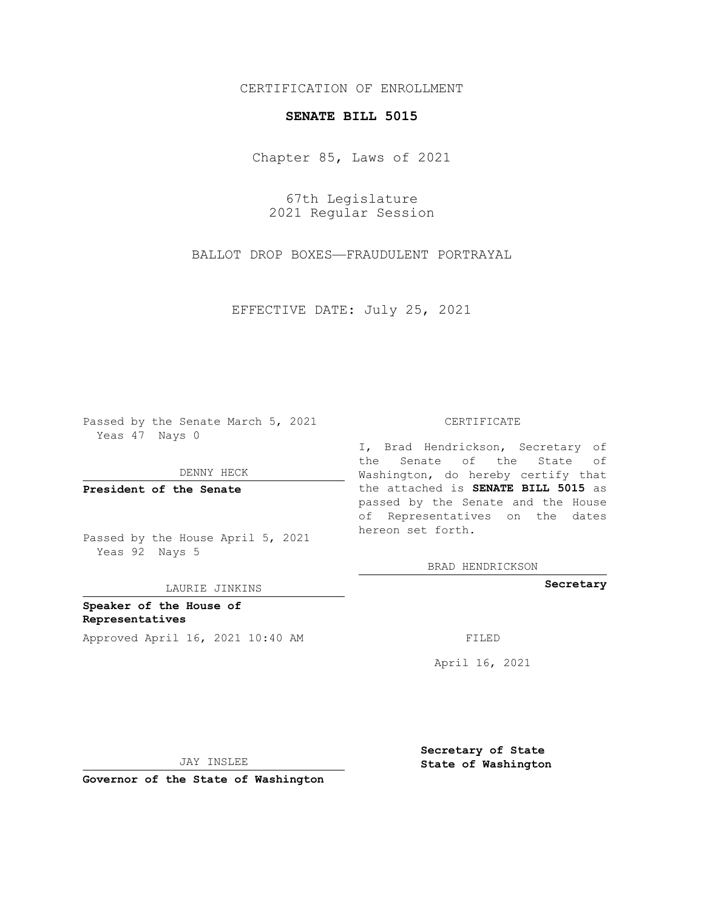## CERTIFICATION OF ENROLLMENT

## **SENATE BILL 5015**

Chapter 85, Laws of 2021

67th Legislature 2021 Regular Session

BALLOT DROP BOXES—FRAUDULENT PORTRAYAL

EFFECTIVE DATE: July 25, 2021

Passed by the Senate March 5, 2021 Yeas 47 Nays 0

DENNY HECK

**President of the Senate**

Passed by the House April 5, 2021 Yeas 92 Nays 5

LAURIE JINKINS

**Speaker of the House of Representatives** Approved April 16, 2021 10:40 AM FILED

## CERTIFICATE

I, Brad Hendrickson, Secretary of the Senate of the State of Washington, do hereby certify that the attached is **SENATE BILL 5015** as passed by the Senate and the House of Representatives on the dates hereon set forth.

BRAD HENDRICKSON

**Secretary**

April 16, 2021

JAY INSLEE

**Governor of the State of Washington**

**Secretary of State State of Washington**